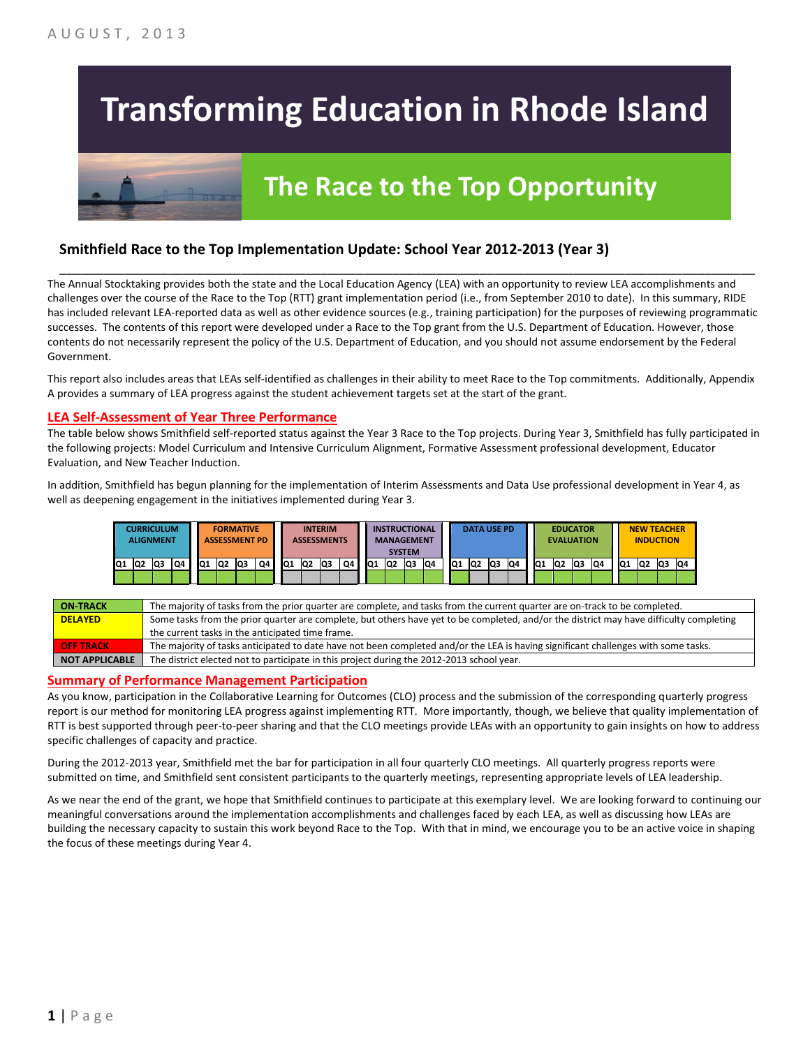# **Transforming Education in Rhode Island**

# **The Race to the Top Opportunity**

### **Smithfield Race to the Top Implementation Update: School Year 2012-2013 (Year 3)**

The Annual Stocktaking provides both the state and the Local Education Agency (LEA) with an opportunity to review LEA accomplishments and challenges over the course of the Race to the Top (RTT) grant implementation period (i.e., from September 2010 to date). In this summary, RIDE has included relevant LEA-reported data as well as other evidence sources (e.g., training participation) for the purposes of reviewing programmatic successes. The contents of this report were developed under a Race to the Top grant from the U.S. Department of Education. However, those contents do not necessarily represent the policy of the U.S. Department of Education, and you should not assume endorsement by the Federal Government.

\_\_\_\_\_\_\_\_\_\_\_\_\_\_\_\_\_\_\_\_\_\_\_\_\_\_\_\_\_\_\_\_\_\_\_\_\_\_\_\_\_\_\_\_\_\_\_\_\_\_\_\_\_\_\_\_\_\_\_\_\_\_\_\_\_\_\_\_\_\_\_\_\_\_\_\_\_\_\_\_\_\_\_\_\_\_\_\_\_\_\_\_\_\_\_\_

This report also includes areas that LEAs self-identified as challenges in their ability to meet Race to the Top commitments. Additionally, Appendix A provides a summary of LEA progress against the student achievement targets set at the start of the grant.

#### **LEA Self-Assessment of Year Three Performance**

The table below shows Smithfield self-reported status against the Year 3 Race to the Top projects. During Year 3, Smithfield has fully participated in the following projects: Model Curriculum and Intensive Curriculum Alignment, Formative Assessment professional development, Educator Evaluation, and New Teacher Induction.

In addition, Smithfield has begun planning for the implementation of Interim Assessments and Data Use professional development in Year 4, as well as deepening engagement in the initiatives implemented during Year 3.



| <b>ON TRACK</b>  | The majority of tasks from the prior quarter are complete, and tasks from the current quarter are on-track to be completed.             |
|------------------|-----------------------------------------------------------------------------------------------------------------------------------------|
| <b>DELAYED</b>   | Some tasks from the prior quarter are complete, but others have yet to be completed, and/or the district may have difficulty completing |
|                  | the current tasks in the anticipated time frame.                                                                                        |
| <b>OFF TRACK</b> | The majority of tasks anticipated to date have not been completed and/or the LEA is having significant challenges with some tasks.      |
| NOT APPLICABLE   | The district elected not to participate in this project during the 2012-2013 school year.                                               |

#### **Summary of Performance Management Participation**

As you know, participation in the Collaborative Learning for Outcomes (CLO) process and the submission of the corresponding quarterly progress report is our method for monitoring LEA progress against implementing RTT. More importantly, though, we believe that quality implementation of RTT is best supported through peer-to-peer sharing and that the CLO meetings provide LEAs with an opportunity to gain insights on how to address specific challenges of capacity and practice.

During the 2012-2013 year, Smithfield met the bar for participation in all four quarterly CLO meetings. All quarterly progress reports were submitted on time, and Smithfield sent consistent participants to the quarterly meetings, representing appropriate levels of LEA leadership.

As we near the end of the grant, we hope that Smithfield continues to participate at this exemplary level. We are looking forward to continuing our meaningful conversations around the implementation accomplishments and challenges faced by each LEA, as well as discussing how LEAs are building the necessary capacity to sustain this work beyond Race to the Top. With that in mind, we encourage you to be an active voice in shaping the focus of these meetings during Year 4.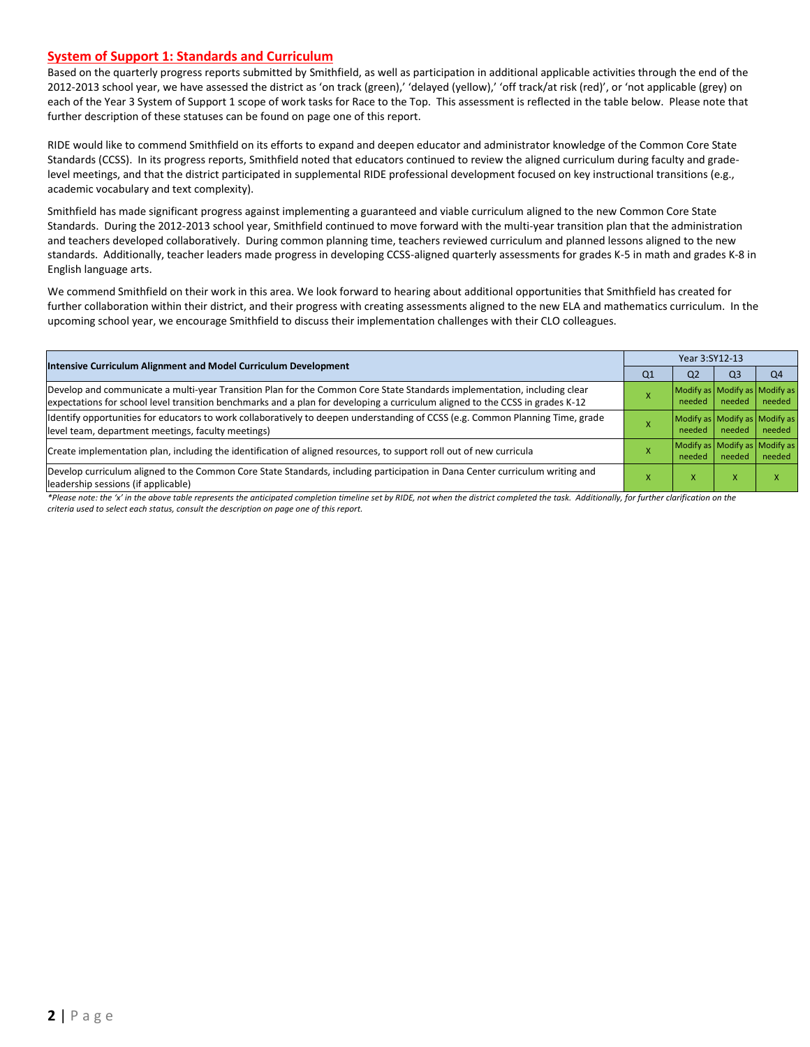#### **System of Support 1: Standards and Curriculum**

Based on the quarterly progress reports submitted by Smithfield, as well as participation in additional applicable activities through the end of the 2012-2013 school year, we have assessed the district as 'on track (green),' 'delayed (yellow),' 'off track/at risk (red)', or 'not applicable (grey) on each of the Year 3 System of Support 1 scope of work tasks for Race to the Top. This assessment is reflected in the table below. Please note that further description of these statuses can be found on page one of this report.

RIDE would like to commend Smithfield on its efforts to expand and deepen educator and administrator knowledge of the Common Core State Standards (CCSS). In its progress reports, Smithfield noted that educators continued to review the aligned curriculum during faculty and gradelevel meetings, and that the district participated in supplemental RIDE professional development focused on key instructional transitions (e.g., academic vocabulary and text complexity).

Smithfield has made significant progress against implementing a guaranteed and viable curriculum aligned to the new Common Core State Standards. During the 2012-2013 school year, Smithfield continued to move forward with the multi-year transition plan that the administration and teachers developed collaboratively. During common planning time, teachers reviewed curriculum and planned lessons aligned to the new standards. Additionally, teacher leaders made progress in developing CCSS-aligned quarterly assessments for grades K-5 in math and grades K-8 in English language arts.

We commend Smithfield on their work in this area. We look forward to hearing about additional opportunities that Smithfield has created for further collaboration within their district, and their progress with creating assessments aligned to the new ELA and mathematics curriculum. In the upcoming school year, we encourage Smithfield to discuss their implementation challenges with their CLO colleagues.

|                                                                                                                                                                                                                                                           |                | Year 3:SY12-13                          |                |                |  |  |  |
|-----------------------------------------------------------------------------------------------------------------------------------------------------------------------------------------------------------------------------------------------------------|----------------|-----------------------------------------|----------------|----------------|--|--|--|
| Intensive Curriculum Alignment and Model Curriculum Development                                                                                                                                                                                           | Q <sub>1</sub> | Q <sub>2</sub>                          | Q <sub>3</sub> | Q <sub>4</sub> |  |  |  |
| Develop and communicate a multi-year Transition Plan for the Common Core State Standards implementation, including clear<br>expectations for school level transition benchmarks and a plan for developing a curriculum aligned to the CCSS in grades K-12 |                | Modify as Modify as Modify as<br>needed | needed         | needed         |  |  |  |
| ldentify opportunities for educators to work collaboratively to deepen understanding of CCSS (e.g. Common Planning Time, grade<br>level team, department meetings, faculty meetings)                                                                      |                | Modify as Modify as Modify as<br>needed | needed         | needed         |  |  |  |
| Create implementation plan, including the identification of aligned resources, to support roll out of new curricula                                                                                                                                       |                | Modify as Modify as Modify as<br>needed | needed         | needed         |  |  |  |
| Develop curriculum aligned to the Common Core State Standards, including participation in Dana Center curriculum writing and<br>leadership sessions (if applicable)                                                                                       |                | x                                       | x              |                |  |  |  |
| *Please note: the 'x' in the above table represents the anticipated completion timeline set by RIDE, not when the district completed the task. Additionally, for further clarification on the                                                             |                |                                         |                |                |  |  |  |

*\*Please note: the 'x' in the above table represents the anticipated completion timeline set by RIDE, not when the district completed the task. Additionally, for further clarification on the criteria used to select each status, consult the description on page one of this report.*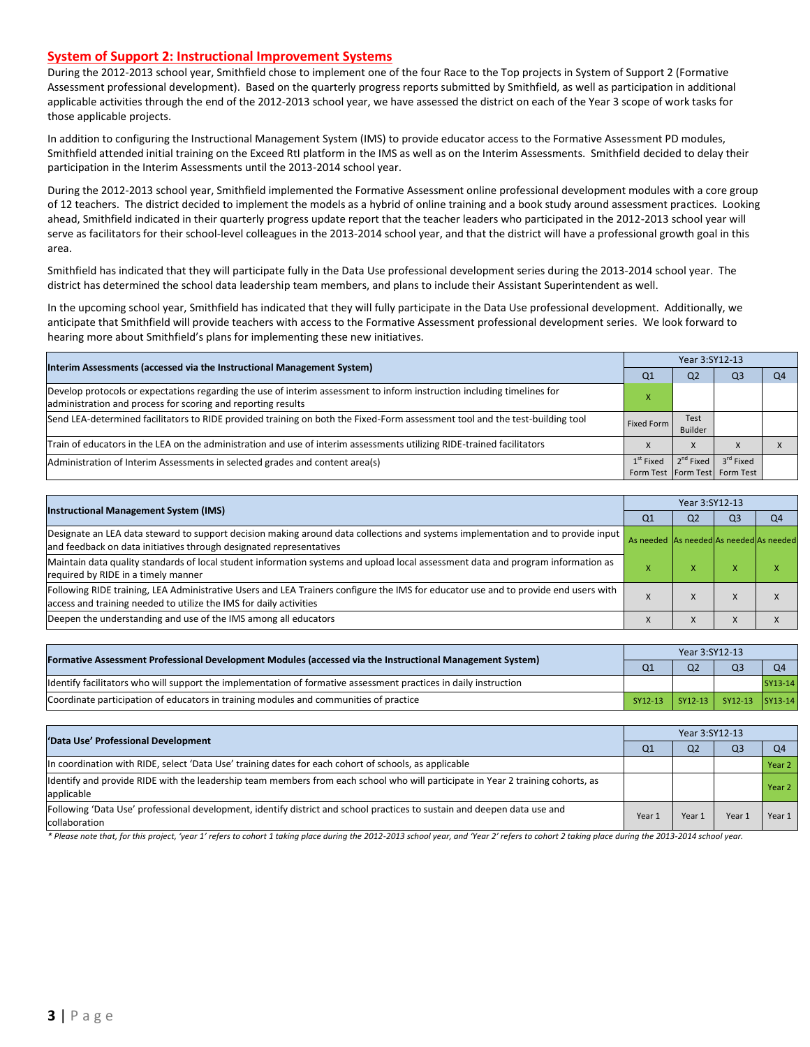#### **System of Support 2: Instructional Improvement Systems**

During the 2012-2013 school year, Smithfield chose to implement one of the four Race to the Top projects in System of Support 2 (Formative Assessment professional development). Based on the quarterly progress reports submitted by Smithfield, as well as participation in additional applicable activities through the end of the 2012-2013 school year, we have assessed the district on each of the Year 3 scope of work tasks for those applicable projects.

In addition to configuring the Instructional Management System (IMS) to provide educator access to the Formative Assessment PD modules, Smithfield attended initial training on the Exceed RtI platform in the IMS as well as on the Interim Assessments. Smithfield decided to delay their participation in the Interim Assessments until the 2013-2014 school year.

During the 2012-2013 school year, Smithfield implemented the Formative Assessment online professional development modules with a core group of 12 teachers. The district decided to implement the models as a hybrid of online training and a book study around assessment practices. Looking ahead, Smithfield indicated in their quarterly progress update report that the teacher leaders who participated in the 2012-2013 school year will serve as facilitators for their school-level colleagues in the 2013-2014 school year, and that the district will have a professional growth goal in this area.

Smithfield has indicated that they will participate fully in the Data Use professional development series during the 2013-2014 school year. The district has determined the school data leadership team members, and plans to include their Assistant Superintendent as well.

In the upcoming school year, Smithfield has indicated that they will fully participate in the Data Use professional development. Additionally, we anticipate that Smithfield will provide teachers with access to the Formative Assessment professional development series. We look forward to hearing more about Smithfield's plans for implementing these new initiatives.

| Interim Assessments (accessed via the Instructional Management System)                                                                                                                  |                    | Year 3:SY12-13  |                                                            |    |  |  |  |
|-----------------------------------------------------------------------------------------------------------------------------------------------------------------------------------------|--------------------|-----------------|------------------------------------------------------------|----|--|--|--|
|                                                                                                                                                                                         | Q <sub>1</sub>     | Q <sub>2</sub>  | Q3                                                         | Q4 |  |  |  |
| Develop protocols or expectations regarding the use of interim assessment to inform instruction including timelines for<br>administration and process for scoring and reporting results |                    |                 |                                                            |    |  |  |  |
| Send LEA-determined facilitators to RIDE provided training on both the Fixed-Form assessment tool and the test-building tool                                                            | Fixed Form         | Test<br>Builder |                                                            |    |  |  |  |
| Train of educators in the LEA on the administration and use of interim assessments utilizing RIDE-trained facilitators                                                                  |                    | X               |                                                            |    |  |  |  |
| Administration of Interim Assessments in selected grades and content area(s)                                                                                                            | $1^{\rm st}$ Fixed | $2^{nd}$ Fixed  | 3 <sup>rd</sup> Fixed<br>Form Test   Form Test   Form Test |    |  |  |  |

| <b>Instructional Management System (IMS)</b>                                                                                                                                                              |                                         | Year 3:SY12-13 |                |                |  |  |  |
|-----------------------------------------------------------------------------------------------------------------------------------------------------------------------------------------------------------|-----------------------------------------|----------------|----------------|----------------|--|--|--|
|                                                                                                                                                                                                           | Q <sub>1</sub>                          | Q <sub>2</sub> | Q <sub>3</sub> | Q <sub>4</sub> |  |  |  |
| Designate an LEA data steward to support decision making around data collections and systems implementation and to provide input<br>and feedback on data initiatives through designated representatives   | As needed As needed As needed As needed |                |                |                |  |  |  |
| Maintain data quality standards of local student information systems and upload local assessment data and program information as<br>required by RIDE in a timely manner                                   |                                         | ́              | ⋏              | $\overline{ }$ |  |  |  |
| Following RIDE training, LEA Administrative Users and LEA Trainers configure the IMS for educator use and to provide end users with<br>access and training needed to utilize the IMS for daily activities |                                         |                |                |                |  |  |  |
| Deepen the understanding and use of the IMS among all educators                                                                                                                                           | $\lambda$                               | $\lambda$      |                |                |  |  |  |

| [Formative Assessment Professional Development Modules (accessed via the Instructional Management System)        |         | Year 3:SY12-13 |                         |                |  |  |  |
|------------------------------------------------------------------------------------------------------------------|---------|----------------|-------------------------|----------------|--|--|--|
|                                                                                                                  |         | Q <sub>2</sub> | Q <sub>3</sub>          | O <sub>4</sub> |  |  |  |
| ldentify facilitators who will support the implementation of formative assessment practices in daily instruction |         |                |                         | SY13-14        |  |  |  |
| Coordinate participation of educators in training modules and communities of practice                            | SY12-13 |                | SY12-13 SY12-13 SY13-14 |                |  |  |  |

| 'Data Use' Professional Development                                                                                                           |        | Year 3:SY12-13 |                |                |  |  |
|-----------------------------------------------------------------------------------------------------------------------------------------------|--------|----------------|----------------|----------------|--|--|
|                                                                                                                                               |        | Q <sub>2</sub> | Q <sub>3</sub> | Q <sub>4</sub> |  |  |
| In coordination with RIDE, select 'Data Use' training dates for each cohort of schools, as applicable                                         |        |                |                | Year 2         |  |  |
| ldentify and provide RIDE with the leadership team members from each school who will participate in Year 2 training cohorts, as<br>applicable |        |                |                | Year 2         |  |  |
| Following 'Data Use' professional development, identify district and school practices to sustain and deepen data use and<br>collaboration     | Year 1 | Year 1         | Year:          | Year 1         |  |  |

\* Please note that, for this project, 'year 1' refers to cohort 1 taking place during the 2012-2013 school year, and 'Year 2' refers to cohort 2 taking place during the 2013-2014 school year.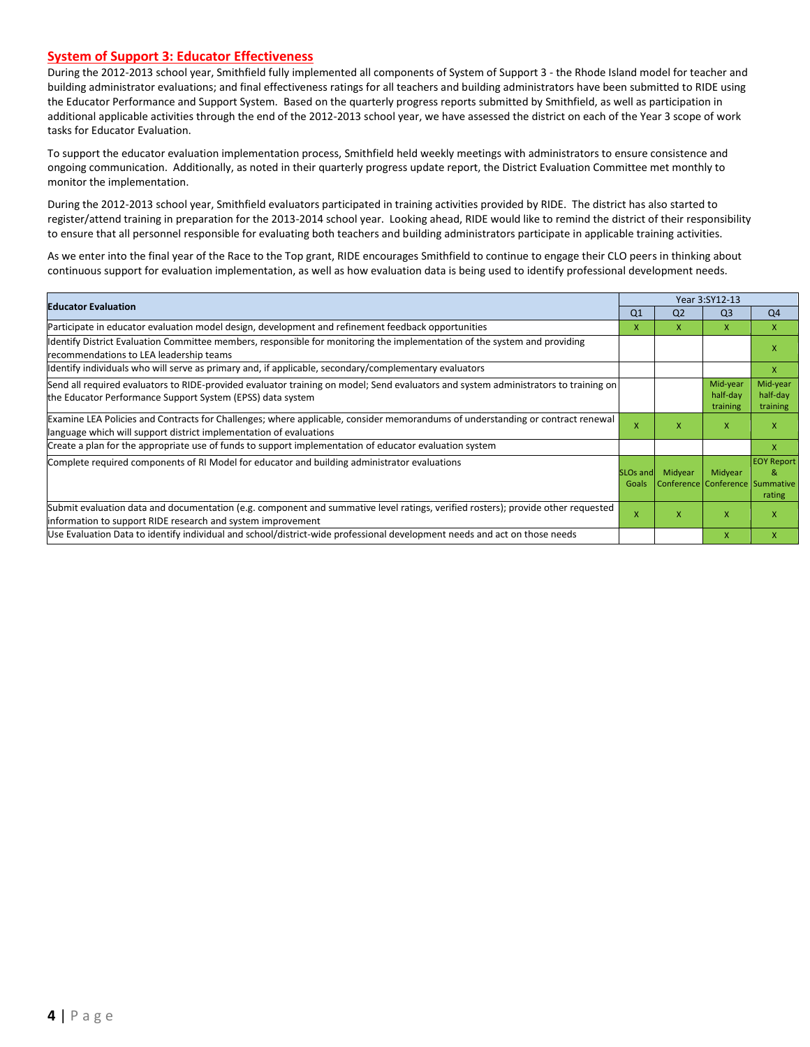#### **System of Support 3: Educator Effectiveness**

During the 2012-2013 school year, Smithfield fully implemented all components of System of Support 3 - the Rhode Island model for teacher and building administrator evaluations; and final effectiveness ratings for all teachers and building administrators have been submitted to RIDE using the Educator Performance and Support System. Based on the quarterly progress reports submitted by Smithfield, as well as participation in additional applicable activities through the end of the 2012-2013 school year, we have assessed the district on each of the Year 3 scope of work tasks for Educator Evaluation.

To support the educator evaluation implementation process, Smithfield held weekly meetings with administrators to ensure consistence and ongoing communication. Additionally, as noted in their quarterly progress update report, the District Evaluation Committee met monthly to monitor the implementation.

During the 2012-2013 school year, Smithfield evaluators participated in training activities provided by RIDE. The district has also started to register/attend training in preparation for the 2013-2014 school year. Looking ahead, RIDE would like to remind the district of their responsibility to ensure that all personnel responsible for evaluating both teachers and building administrators participate in applicable training activities.

As we enter into the final year of the Race to the Top grant, RIDE encourages Smithfield to continue to engage their CLO peers in thinking about continuous support for evaluation implementation, as well as how evaluation data is being used to identify professional development needs.

| <b>Educator Evaluation</b>                                                                                                                                                                           |                | Year 3:SY12-13                                         |                                  |                                  |  |  |
|------------------------------------------------------------------------------------------------------------------------------------------------------------------------------------------------------|----------------|--------------------------------------------------------|----------------------------------|----------------------------------|--|--|
|                                                                                                                                                                                                      | Q <sub>1</sub> | Q <sub>2</sub>                                         | Q <sub>3</sub>                   | Q <sub>4</sub>                   |  |  |
| Participate in educator evaluation model design, development and refinement feedback opportunities                                                                                                   | x              | x                                                      | x                                | $\mathsf{x}$                     |  |  |
| Identify District Evaluation Committee members, responsible for monitoring the implementation of the system and providing<br>recommendations to LEA leadership teams                                 |                |                                                        |                                  |                                  |  |  |
| ldentify individuals who will serve as primary and, if applicable, secondary/complementary evaluators                                                                                                |                |                                                        |                                  | X                                |  |  |
| Send all required evaluators to RIDE-provided evaluator training on model; Send evaluators and system administrators to training on<br>the Educator Performance Support System (EPSS) data system    |                |                                                        | Mid-year<br>half-day<br>training | Mid-year<br>half-day<br>training |  |  |
| Examine LEA Policies and Contracts for Challenges; where applicable, consider memorandums of understanding or contract renewal<br>language which will support district implementation of evaluations |                | x                                                      | x                                | x                                |  |  |
| Create a plan for the appropriate use of funds to support implementation of educator evaluation system                                                                                               |                |                                                        |                                  | X                                |  |  |
| Complete required components of RI Model for educator and building administrator evaluations                                                                                                         |                | Midyear<br>SLOs and<br>Conference Conference Summative | Midyear                          | <b>EOY Report</b><br>&<br>rating |  |  |
| Submit evaluation data and documentation (e.g. component and summative level ratings, verified rosters); provide other requested<br>information to support RIDE research and system improvement      | $\mathsf{x}$   | X                                                      | X                                |                                  |  |  |
| Use Evaluation Data to identify individual and school/district-wide professional development needs and act on those needs                                                                            |                |                                                        | $\mathsf{x}$                     |                                  |  |  |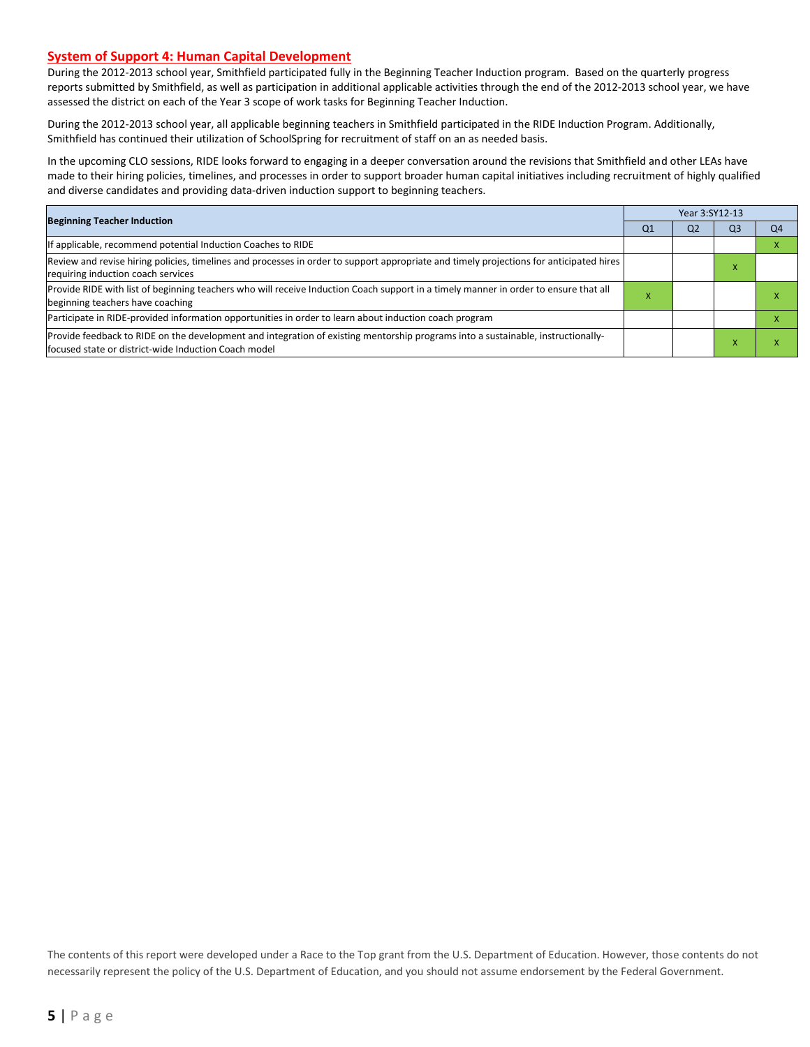#### **System of Support 4: Human Capital Development**

During the 2012-2013 school year, Smithfield participated fully in the Beginning Teacher Induction program. Based on the quarterly progress reports submitted by Smithfield, as well as participation in additional applicable activities through the end of the 2012-2013 school year, we have assessed the district on each of the Year 3 scope of work tasks for Beginning Teacher Induction.

During the 2012-2013 school year, all applicable beginning teachers in Smithfield participated in the RIDE Induction Program. Additionally, Smithfield has continued their utilization of SchoolSpring for recruitment of staff on an as needed basis.

In the upcoming CLO sessions, RIDE looks forward to engaging in a deeper conversation around the revisions that Smithfield and other LEAs have made to their hiring policies, timelines, and processes in order to support broader human capital initiatives including recruitment of highly qualified and diverse candidates and providing data-driven induction support to beginning teachers.

|                                                                                                                                                                                          |    | Year 3:SY12-13 |                |                |  |  |  |
|------------------------------------------------------------------------------------------------------------------------------------------------------------------------------------------|----|----------------|----------------|----------------|--|--|--|
| <b>Beginning Teacher Induction</b>                                                                                                                                                       | Q1 | Q <sub>2</sub> | Q <sub>3</sub> | Q <sub>4</sub> |  |  |  |
| If applicable, recommend potential Induction Coaches to RIDE                                                                                                                             |    |                |                |                |  |  |  |
| Review and revise hiring policies, timelines and processes in order to support appropriate and timely projections for anticipated hires<br>requiring induction coach services            |    |                | x              |                |  |  |  |
| Provide RIDE with list of beginning teachers who will receive Induction Coach support in a timely manner in order to ensure that all<br>beginning teachers have coaching                 | ^  |                |                |                |  |  |  |
| Participate in RIDE-provided information opportunities in order to learn about induction coach program                                                                                   |    |                |                |                |  |  |  |
| Provide feedback to RIDE on the development and integration of existing mentorship programs into a sustainable, instructionally-<br>focused state or district-wide Induction Coach model |    |                | X              |                |  |  |  |

The contents of this report were developed under a Race to the Top grant from the U.S. Department of Education. However, those contents do not necessarily represent the policy of the U.S. Department of Education, and you should not assume endorsement by the Federal Government.